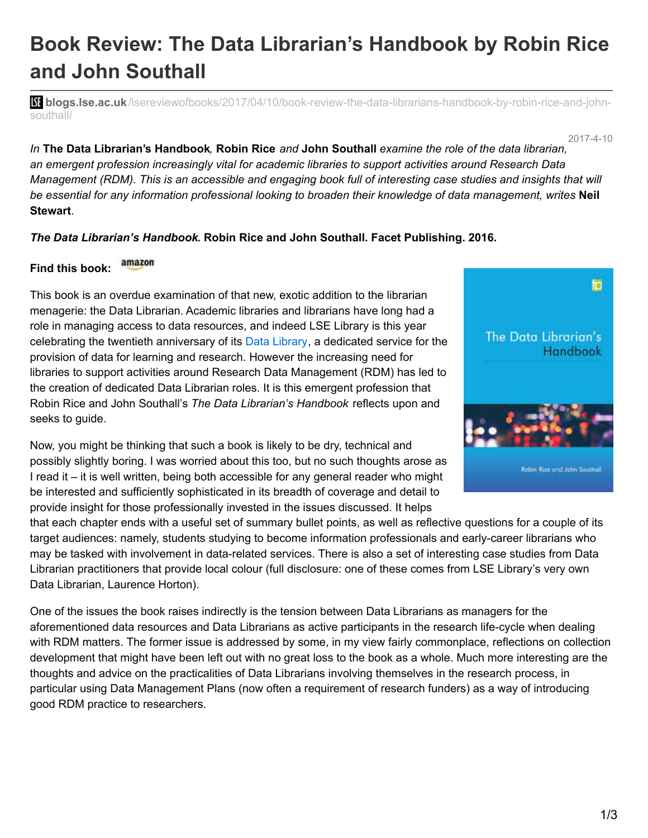## **Book Review: The Data Librarian's Handbook by Robin Rice and John Southall**

**bli blogs.lse.ac.uk**[/lsereviewofbooks/2017/04/10/book-review-the-data-librarians-handbook-by-robin-rice-and-john](http://blogs.lse.ac.uk/lsereviewofbooks/2017/04/10/book-review-the-data-librarians-handbook-by-robin-rice-and-john-southall/)southall/

2017-4-10

In The Data Librarian's Handbook, Robin Rice and John Southall examine the role of the data librarian, *an emergent profession increasingly vital for academic libraries to support activities around Research Data* Management (RDM). This is an accessible and engaging book full of interesting case studies and insights that will *be essential for any information professional looking to broaden their knowledge of data management, writes* **Neil Stewart***.*

## *The Data Librarian's Handbook***. Robin Rice and John Southall. Facet Publishing. 2016.**

## amazon **Find this book:**

This book is an overdue examination of that new, exotic addition to the librarian menagerie: the Data Librarian. Academic libraries and librarians have long had a role in managing access to data resources, and indeed LSE Library is this year celebrating the twentieth anniversary of its Data [Library](http://www.lse.ac.uk/Library/Collections/Collection-highlights/Data-and-statistics), a dedicated service for the provision of data for learning and research. However the increasing need for libraries to support activities around Research Data Management (RDM) has led to the creation of dedicated Data Librarian roles. It is this emergent profession that Robin Rice and John Southall's *The Data Librarian's Handbook* reflects upon and seeks to guide.

Now, you might be thinking that such a book is likely to be dry, technical and possibly slightly boring. I was worried about this too, but no such thoughts arose as I read it – it is well written, being both accessible for any general reader who might be interested and sufficiently sophisticated in its breadth of coverage and detail to provide insight for those professionally invested in the issues discussed. It helps

that each chapter ends with a useful set of summary bullet points, as well as reflective questions for a couple of its target audiences: namely, students studying to become information professionals and early-career librarians who may be tasked with involvement in data-related services. There is also a set of interesting case studies from Data Librarian practitioners that provide local colour (full disclosure: one of these comes from LSE Library's very own Data Librarian, Laurence Horton).

One of the issues the book raises indirectly is the tension between Data Librarians as managers for the aforementioned data resources and Data Librarians as active participants in the research life-cycle when dealing with RDM matters. The former issue is addressed by some, in my view fairly commonplace, reflections on collection development that might have been left out with no great loss to the book as a whole. Much more interesting are the thoughts and advice on the practicalities of Data Librarians involving themselves in the research process, in particular using Data Management Plans (now often a requirement of research funders) as a way of introducing good RDM practice to researchers.

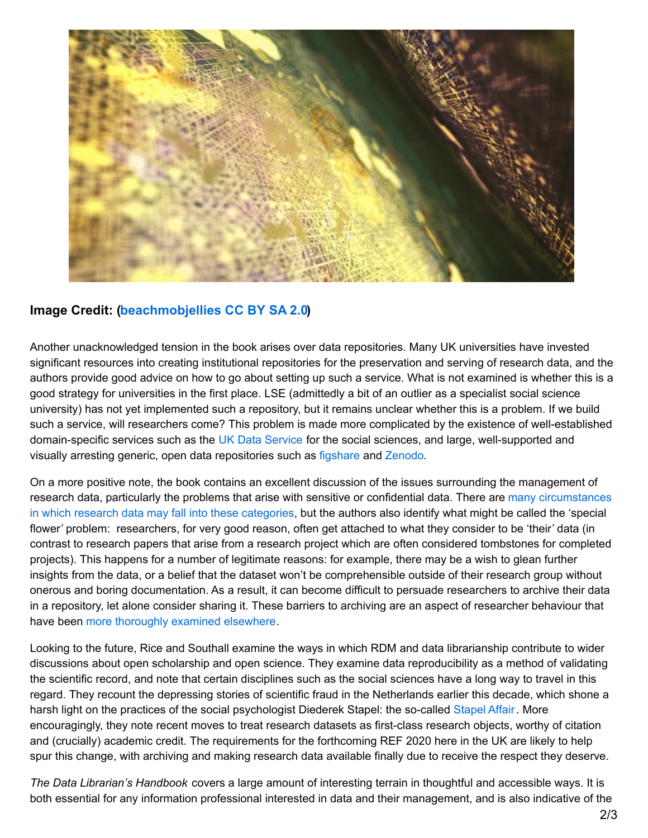

## **Image Credit: [\(beachmobjellies](https://www.flickr.com/photos/152609495@N07/33241097510/) CC BY SA 2.0)**

Another unacknowledged tension in the book arises over data repositories. Many UK universities have invested significant resources into creating institutional repositories for the preservation and serving of research data, and the authors provide good advice on how to go about setting up such a service. What is not examined is whether this is a good strategy for universities in the first place. LSE (admittedly a bit of an outlier as a specialist social science university) has not yet implemented such a repository, but it remains unclear whether this is a problem. If we build such a service, will researchers come? This problem is made more complicated by the existence of well-established domain-specific services such as the UK Data [Service](https://www.ukdataservice.ac.uk/) for the social sciences, and large, well-supported and visually arresting generic, open data repositories such as [figshare](https://figshare.com/) and [Zenodo](https://zenodo.org/).

On a more positive note, the book contains an excellent discussion of the issues surrounding the management of research data, particularly the problems that arise with sensitive or confidential data. There are many [circumstances](http://www.lse.ac.uk/Library/Research-support/Research-Data-Management/Anonymisation-and-data-protection) in which research data may fall into these categories, but the authors also identify what might be called the 'special flower' problem: researchers, for very good reason, often get attached to what they consider to be 'their' data (in contrast to research papers that arise from a research project which are often considered tombstones for completed projects). This happens for a number of legitimate reasons: for example, there may be a wish to glean further insights from the data, or a belief that the dataset won't be comprehensible outside of their research group without onerous and boring documentation. As a result, it can become difficult to persuade researchers to archive their data in a repository, let alone consider sharing it. These barriers to archiving are an aspect of researcher behaviour that have been more [thoroughly](https://www.st-andrews.ac.uk/media/research-data-management/documents/other/Barriers to data sharing data with suggested answers.pdf) examined elsewhere.

Looking to the future, Rice and Southall examine the ways in which RDM and data librarianship contribute to wider discussions about open scholarship and open science. They examine data reproducibility as a method of validating the scientific record, and note that certain disciplines such as the social sciences have a long way to travel in this regard. They recount the depressing stories of scientific fraud in the Netherlands earlier this decade, which shone a harsh light on the practices of the social psychologist Diederek [Stapel](http://www.sciencemag.org/news/2012/11/final-report-stapel-affair-points-bigger-problems-social-psychology): the so-called Stapel Affair. More encouragingly, they note recent moves to treat research datasets as first-class research objects, worthy of citation and (crucially) academic credit. The requirements for the forthcoming REF 2020 here in the UK are likely to help spur this change, with archiving and making research data available finally due to receive the respect they deserve.

*The Data Librarian's Handbook* covers a large amount of interesting terrain in thoughtful and accessible ways. It is both essential for any information professional interested in data and their management, and is also indicative of the